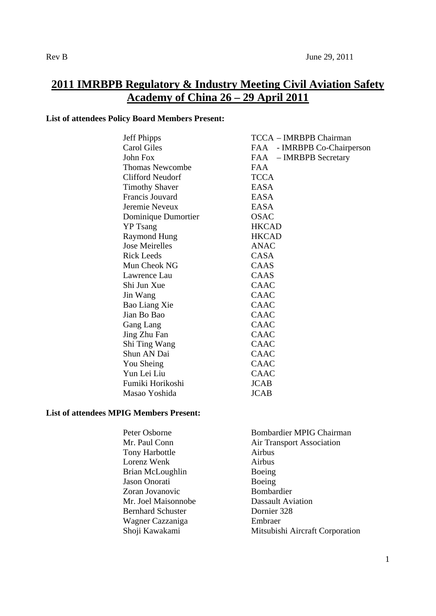# **2011 IMRBPB Regulatory & Industry Meeting Civil Aviation Safety Academy of China 26 – 29 April 2011**

## **List of attendees Policy Board Members Present:**

| <b>Jeff Phipps</b>      | TCCA - IMRBPB Chairman         |
|-------------------------|--------------------------------|
| <b>Carol Giles</b>      | - IMRBPB Co-Chairperson<br>FAA |
| John Fox                | FAA – IMRBPB Secretary         |
| <b>Thomas Newcombe</b>  | <b>FAA</b>                     |
| <b>Clifford Neudorf</b> | <b>TCCA</b>                    |
| <b>Timothy Shaver</b>   | <b>EASA</b>                    |
| Francis Jouvard         | <b>EASA</b>                    |
| Jeremie Neveux          | <b>EASA</b>                    |
| Dominique Dumortier     | <b>OSAC</b>                    |
| <b>YP</b> Tsang         | <b>HKCAD</b>                   |
| <b>Raymond Hung</b>     | <b>HKCAD</b>                   |
| <b>Jose Meirelles</b>   | <b>ANAC</b>                    |
| <b>Rick Leeds</b>       | <b>CASA</b>                    |
| Mun Cheok NG            | CAAS                           |
| Lawrence Lau            | CAAS                           |
| Shi Jun Xue             | CAAC                           |
| Jin Wang                | CAAC                           |
| Bao Liang Xie           | <b>CAAC</b>                    |
| Jian Bo Bao             | CAAC                           |
| Gang Lang               | CAAC                           |
| Jing Zhu Fan            | CAAC                           |
| Shi Ting Wang           | <b>CAAC</b>                    |
| Shun AN Dai             | CAAC                           |
| You Sheing              | CAAC                           |
| Yun Lei Liu             | CAAC                           |
| Fumiki Horikoshi        | <b>JCAB</b>                    |
| Masao Yoshida           | <b>JCAB</b>                    |

## **List of attendees MPIG Members Present:**

| Peter Osborne            | <b>Bombardier MPIG Chairman</b>  |
|--------------------------|----------------------------------|
| Mr. Paul Conn            | <b>Air Transport Association</b> |
| <b>Tony Harbottle</b>    | Airbus                           |
| Lorenz Wenk              | Airbus                           |
| Brian McLoughlin         | Boeing                           |
| Jason Onorati            | Boeing                           |
| Zoran Jovanovic          | Bombardier                       |
| Mr. Joel Maisonnobe      | <b>Dassault Aviation</b>         |
| <b>Bernhard Schuster</b> | Dornier 328                      |
| Wagner Cazzaniga         | Embraer                          |
| Shoji Kawakami           | Mitsubishi Aircraft Corporation  |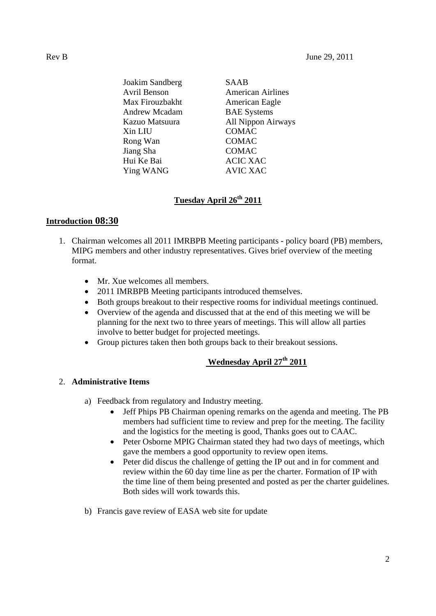Joakim Sandberg SAAB Avril Benson American Airlines Max Firouzbakht American Eagle Andrew Mcadam BAE Systems Kazuo Matsuura All Nippon Airways Xin LIU COMAC Rong Wan COMAC Jiang Sha COMAC Hui Ke Bai ACIC XAC Ying WANG AVIC XAC

## **Tuesday April 26th 2011**

## **Introduction 08:30**

- 1. Chairman welcomes all 2011 IMRBPB Meeting participants policy board (PB) members, MIPG members and other industry representatives. Gives brief overview of the meeting format.
	- Mr. Xue welcomes all members.
	- 2011 IMRBPB Meeting participants introduced themselves.
	- Both groups breakout to their respective rooms for individual meetings continued.
	- Overview of the agenda and discussed that at the end of this meeting we will be planning for the next two to three years of meetings. This will allow all parties involve to better budget for projected meetings.
	- Group pictures taken then both groups back to their breakout sessions.

# **Wednesday April 27th 2011**

## 2. **Administrative Items**

- a) Feedback from regulatory and Industry meeting.
	- Jeff Phips PB Chairman opening remarks on the agenda and meeting. The PB members had sufficient time to review and prep for the meeting. The facility and the logistics for the meeting is good, Thanks goes out to CAAC.
	- Peter Osborne MPIG Chairman stated they had two days of meetings, which gave the members a good opportunity to review open items.
	- Peter did discus the challenge of getting the IP out and in for comment and review within the 60 day time line as per the charter. Formation of IP with the time line of them being presented and posted as per the charter guidelines. Both sides will work towards this.
- b) Francis gave review of EASA web site for update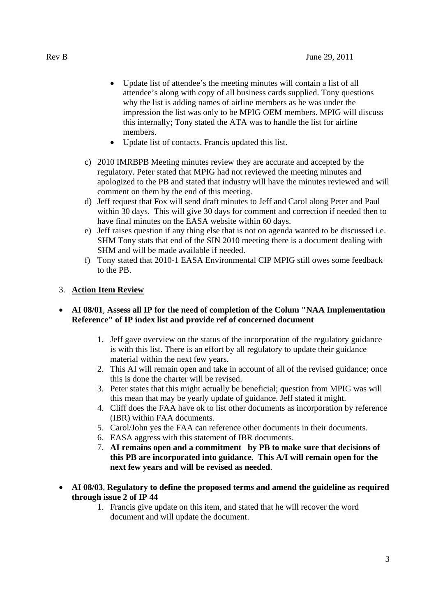- Update list of attendee's the meeting minutes will contain a list of all attendee's along with copy of all business cards supplied. Tony questions why the list is adding names of airline members as he was under the impression the list was only to be MPIG OEM members. MPIG will discuss this internally; Tony stated the ATA was to handle the list for airline members.
- Update list of contacts. Francis updated this list.
- c) 2010 IMRBPB Meeting minutes review they are accurate and accepted by the regulatory. Peter stated that MPIG had not reviewed the meeting minutes and apologized to the PB and stated that industry will have the minutes reviewed and will comment on them by the end of this meeting.
- d) Jeff request that Fox will send draft minutes to Jeff and Carol along Peter and Paul within 30 days. This will give 30 days for comment and correction if needed then to have final minutes on the EASA website within 60 days.
- e) Jeff raises question if any thing else that is not on agenda wanted to be discussed i.e. SHM Tony stats that end of the SIN 2010 meeting there is a document dealing with SHM and will be made available if needed.
- f) Tony stated that 2010-1 EASA Environmental CIP MPIG still owes some feedback to the PB.

## 3. **Action Item Review**

## **AI 08/01**, **Assess all IP for the need of completion of the Colum "NAA Implementation Reference" of IP index list and provide ref of concerned document**

- 1. Jeff gave overview on the status of the incorporation of the regulatory guidance is with this list. There is an effort by all regulatory to update their guidance material within the next few years.
- 2. This AI will remain open and take in account of all of the revised guidance; once this is done the charter will be revised.
- 3. Peter states that this might actually be beneficial; question from MPIG was will this mean that may be yearly update of guidance. Jeff stated it might.
- 4. Cliff does the FAA have ok to list other documents as incorporation by reference (IBR) within FAA documents.
- 5. Carol/John yes the FAA can reference other documents in their documents.
- 6. EASA aggress with this statement of IBR documents.
- 7. **AI remains open and a commitment by PB to make sure that decisions of this PB are incorporated into guidance. This A/I will remain open for the next few years and will be revised as needed**.
- **AI 08/03**, **Regulatory to define the proposed terms and amend the guideline as required through issue 2 of IP 44**
	- 1. Francis give update on this item, and stated that he will recover the word document and will update the document.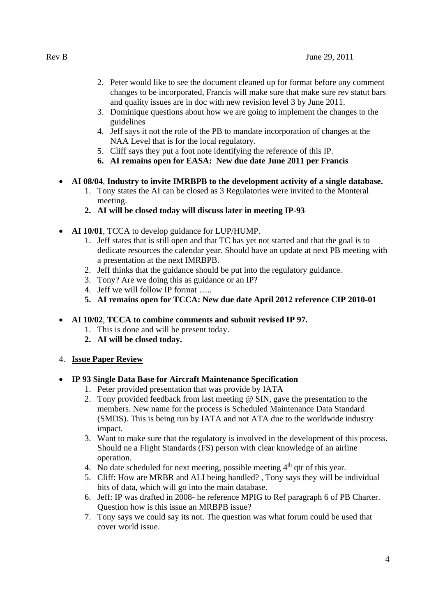- 2. Peter would like to see the document cleaned up for format before any comment changes to be incorporated, Francis will make sure that make sure rev statut bars and quality issues are in doc with new revision level 3 by June 2011.
- 3. Dominique questions about how we are going to implement the changes to the guidelines
- 4. Jeff says it not the role of the PB to mandate incorporation of changes at the NAA Level that is for the local regulatory.
- 5. Cliff says they put a foot note identifying the reference of this IP.
- **6. AI remains open for EASA: New due date June 2011 per Francis**
- **AI 08/04**, **Industry to invite IMRBPB to the development activity of a single database.**
	- 1. Tony states the AI can be closed as 3 Regulatories were invited to the Monteral meeting.
	- **2. AI will be closed today will discuss later in meeting IP-93**
- **AI 10/01**, TCCA to develop guidance for LUP/HUMP.
	- 1. Jeff states that is still open and that TC has yet not started and that the goal is to dedicate resources the calendar year. Should have an update at next PB meeting with a presentation at the next IMRBPB.
	- 2. Jeff thinks that the guidance should be put into the regulatory guidance.
	- 3. Tony? Are we doing this as guidance or an IP?
	- 4. Jeff we will follow IP format …..
	- **5. AI remains open for TCCA: New due date April 2012 reference CIP 2010-01**
- **AI 10/02**, **TCCA to combine comments and submit revised IP 97.**
	- 1. This is done and will be present today.
	- **2. AI will be closed today.**

#### 4. **Issue Paper Review**

- **IP 93 Single Data Base for Aircraft Maintenance Specification**
	- 1. Peter provided presentation that was provide by IATA
	- 2. Tony provided feedback from last meeting @ SIN, gave the presentation to the members. New name for the process is Scheduled Maintenance Data Standard (SMDS). This is being run by IATA and not ATA due to the worldwide industry impact.
	- 3. Want to make sure that the regulatory is involved in the development of this process. Should ne a Flight Standards (FS) person with clear knowledge of an airline operation.
	- 4. No date scheduled for next meeting, possible meeting  $4<sup>th</sup>$  qtr of this year.
	- 5. Cliff: How are MRBR and ALI being handled? , Tony says they will be individual bits of data, which will go into the main database.
	- 6. Jeff: IP was drafted in 2008- he reference MPIG to Ref paragraph 6 of PB Charter. Question how is this issue an MRBPB issue?
	- 7. Tony says we could say its not. The question was what forum could be used that cover world issue.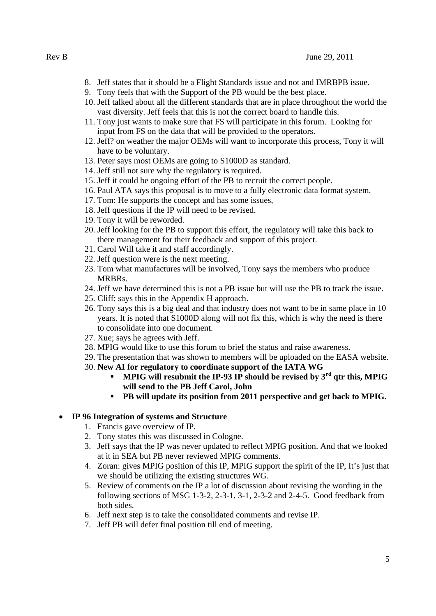- 8. Jeff states that it should be a Flight Standards issue and not and IMRBPB issue.
- 9. Tony feels that with the Support of the PB would be the best place.
- 10. Jeff talked about all the different standards that are in place throughout the world the vast diversity. Jeff feels that this is not the correct board to handle this.
- 11. Tony just wants to make sure that FS will participate in this forum. Looking for input from FS on the data that will be provided to the operators.
- 12. Jeff? on weather the major OEMs will want to incorporate this process, Tony it will have to be voluntary.
- 13. Peter says most OEMs are going to S1000D as standard.
- 14. Jeff still not sure why the regulatory is required.
- 15. Jeff it could be ongoing effort of the PB to recruit the correct people.
- 16. Paul ATA says this proposal is to move to a fully electronic data format system.
- 17. Tom: He supports the concept and has some issues,
- 18. Jeff questions if the IP will need to be revised.
- 19. Tony it will be reworded.
- 20. Jeff looking for the PB to support this effort, the regulatory will take this back to there management for their feedback and support of this project.
- 21. Carol Will take it and staff accordingly.
- 22. Jeff question were is the next meeting.
- 23. Tom what manufactures will be involved, Tony says the members who produce MRBRs.
- 24. Jeff we have determined this is not a PB issue but will use the PB to track the issue.
- 25. Cliff: says this in the Appendix H approach.
- 26. Tony says this is a big deal and that industry does not want to be in same place in 10 years. It is noted that S1000D along will not fix this, which is why the need is there to consolidate into one document.
- 27. Xue; says he agrees with Jeff.
- 28. MPIG would like to use this forum to brief the status and raise awareness.
- 29. The presentation that was shown to members will be uploaded on the EASA website.
- 30. **New AI for regulatory to coordinate support of the IATA WG**
	- **MPIG will resubmit the IP-93 IP should be revised by 3rd qtr this, MPIG will send to the PB Jeff Carol, John**
	- **PB will update its position from 2011 perspective and get back to MPIG.**

#### **IP 96 Integration of systems and Structure**

- 1. Francis gave overview of IP.
- 2. Tony states this was discussed in Cologne.
- 3. Jeff says that the IP was never updated to reflect MPIG position. And that we looked at it in SEA but PB never reviewed MPIG comments.
- 4. Zoran: gives MPIG position of this IP, MPIG support the spirit of the IP, It's just that we should be utilizing the existing structures WG.
- 5. Review of comments on the IP a lot of discussion about revising the wording in the following sections of MSG 1-3-2, 2-3-1, 3-1, 2-3-2 and 2-4-5. Good feedback from both sides.
- 6. Jeff next step is to take the consolidated comments and revise IP.
- 7. Jeff PB will defer final position till end of meeting.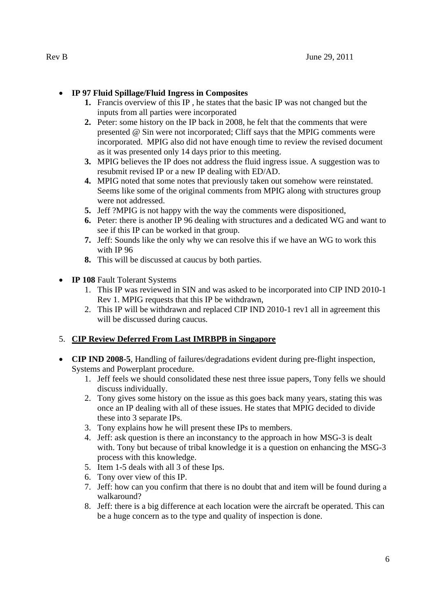## **IP 97 Fluid Spillage/Fluid Ingress in Composites**

- **1.** Francis overview of this IP , he states that the basic IP was not changed but the inputs from all parties were incorporated
- **2.** Peter: some history on the IP back in 2008, he felt that the comments that were presented @ Sin were not incorporated; Cliff says that the MPIG comments were incorporated. MPIG also did not have enough time to review the revised document as it was presented only 14 days prior to this meeting.
- **3.** MPIG believes the IP does not address the fluid ingress issue. A suggestion was to resubmit revised IP or a new IP dealing with ED/AD.
- **4.** MPIG noted that some notes that previously taken out somehow were reinstated. Seems like some of the original comments from MPIG along with structures group were not addressed.
- **5.** Jeff ?MPIG is not happy with the way the comments were dispositioned,
- **6.** Peter: there is another IP 96 dealing with structures and a dedicated WG and want to see if this IP can be worked in that group.
- **7.** Jeff: Sounds like the only why we can resolve this if we have an WG to work this with IP 96
- **8.** This will be discussed at caucus by both parties.
- **IP 108** Fault Tolerant Systems
	- 1. This IP was reviewed in SIN and was asked to be incorporated into CIP IND 2010-1 Rev 1. MPIG requests that this IP be withdrawn,
	- 2. This IP will be withdrawn and replaced CIP IND 2010-1 rev1 all in agreement this will be discussed during caucus.

## 5. **CIP Review Deferred From Last IMRBPB in Singapore**

- **CIP IND 2008-5**, Handling of failures/degradations evident during pre-flight inspection, Systems and Powerplant procedure.
	- 1. Jeff feels we should consolidated these nest three issue papers, Tony fells we should discuss individually.
	- 2. Tony gives some history on the issue as this goes back many years, stating this was once an IP dealing with all of these issues. He states that MPIG decided to divide these into 3 separate IPs.
	- 3. Tony explains how he will present these IPs to members.
	- 4. Jeff: ask question is there an inconstancy to the approach in how MSG-3 is dealt with. Tony but because of tribal knowledge it is a question on enhancing the MSG-3 process with this knowledge.
	- 5. Item 1-5 deals with all 3 of these Ips.
	- 6. Tony over view of this IP.
	- 7. Jeff: how can you confirm that there is no doubt that and item will be found during a walkaround?
	- 8. Jeff: there is a big difference at each location were the aircraft be operated. This can be a huge concern as to the type and quality of inspection is done.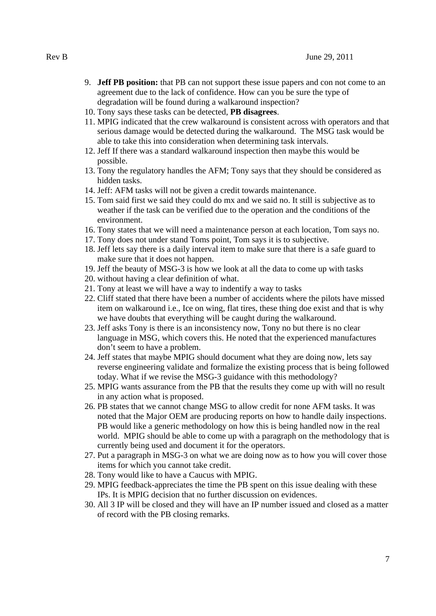- 9. **Jeff PB position:** that PB can not support these issue papers and con not come to an agreement due to the lack of confidence. How can you be sure the type of degradation will be found during a walkaround inspection?
- 10. Tony says these tasks can be detected, **PB disagrees**.
- 11. MPIG indicated that the crew walkaround is consistent across with operators and that serious damage would be detected during the walkaround. The MSG task would be able to take this into consideration when determining task intervals.
- 12. Jeff If there was a standard walkaround inspection then maybe this would be possible.
- 13. Tony the regulatory handles the AFM; Tony says that they should be considered as hidden tasks.
- 14. Jeff: AFM tasks will not be given a credit towards maintenance.
- 15. Tom said first we said they could do mx and we said no. It still is subjective as to weather if the task can be verified due to the operation and the conditions of the environment.
- 16. Tony states that we will need a maintenance person at each location, Tom says no.
- 17. Tony does not under stand Toms point, Tom says it is to subjective.
- 18. Jeff lets say there is a daily interval item to make sure that there is a safe guard to make sure that it does not happen.
- 19. Jeff the beauty of MSG-3 is how we look at all the data to come up with tasks
- 20. without having a clear definition of what.
- 21. Tony at least we will have a way to indentify a way to tasks
- 22. Cliff stated that there have been a number of accidents where the pilots have missed item on walkaround i.e., Ice on wing, flat tires, these thing doe exist and that is why we have doubts that everything will be caught during the walkaround.
- 23. Jeff asks Tony is there is an inconsistency now, Tony no but there is no clear language in MSG, which covers this. He noted that the experienced manufactures don't seem to have a problem.
- 24. Jeff states that maybe MPIG should document what they are doing now, lets say reverse engineering validate and formalize the existing process that is being followed today. What if we revise the MSG-3 guidance with this methodology?
- 25. MPIG wants assurance from the PB that the results they come up with will no result in any action what is proposed.
- 26. PB states that we cannot change MSG to allow credit for none AFM tasks. It was noted that the Major OEM are producing reports on how to handle daily inspections. PB would like a generic methodology on how this is being handled now in the real world. MPIG should be able to come up with a paragraph on the methodology that is currently being used and document it for the operators.
- 27. Put a paragraph in MSG-3 on what we are doing now as to how you will cover those items for which you cannot take credit.
- 28. Tony would like to have a Caucus with MPIG.
- 29. MPIG feedback-appreciates the time the PB spent on this issue dealing with these IPs. It is MPIG decision that no further discussion on evidences.
- 30. All 3 IP will be closed and they will have an IP number issued and closed as a matter of record with the PB closing remarks.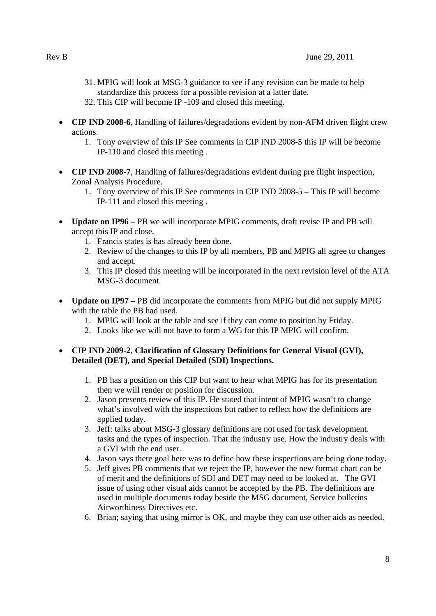- 31. MPIG will look at MSG-3 guidance to see if any revision can be made to help standardize this process for a possible revision at a latter date.
- 32. This CIP will become IP -109 and closed this meeting.
- **CIP IND 2008-6**, Handling of failures/degradations evident by non-AFM driven flight crew actions.
	- 1. Tony overview of this IP See comments in CIP IND 2008-5 this IP will be become IP-110 and closed this meeting .
- **CIP IND 2008-7**, Handling of failures/degradations evident during pre flight inspection, Zonal Analysis Procedure.
	- 1. Tony overview of this IP See comments in CIP IND 2008-5 This IP will become IP-111 and closed this meeting .
- **Update on IP96** PB we will incorporate MPIG comments, draft revise IP and PB will accept this IP and close.
	- 1. Francis states is has already been done.
	- 2. Review of the changes to this IP by all members, PB and MPIG all agree to changes and accept.
	- 3. This IP closed this meeting will be incorporated in the next revision level of the ATA MSG-3 document.
- **Update on IP97** PB did incorporate the comments from MPIG but did not supply MPIG with the table the PB had used.
	- 1. MPIG will look at the table and see if they can come to position by Friday.
	- 2. Looks like we will not have to form a WG for this IP MPIG will confirm.

#### **CIP IND 2009-2**, **Clarification of Glossary Definitions for General Visual (GVI), Detailed (DET), and Special Detailed (SDI) Inspections.**

- 1. PB has a position on this CIP but want to hear what MPIG has for its presentation then we will render or position for discussion.
- 2. Jason presents review of this IP. He stated that intent of MPIG wasn't to change what's involved with the inspections but rather to reflect how the definitions are applied today.
- 3. Jeff: talks about MSG-3 glossary definitions are not used for task development. tasks and the types of inspection. That the industry use. How the industry deals with a GVI with the end user.
- 4. Jason says there goal here was to define how these inspections are being done today.
- 5. Jeff gives PB comments that we reject the IP, however the new format chart can be of merit and the definitions of SDI and DET may need to be looked at. The GVI issue of using other visual aids cannot be accepted by the PB. The definitions are used in multiple documents today beside the MSG document, Service bulletins Airworthiness Directives etc.
- 6. Brian; saying that using mirror is OK, and maybe they can use other aids as needed.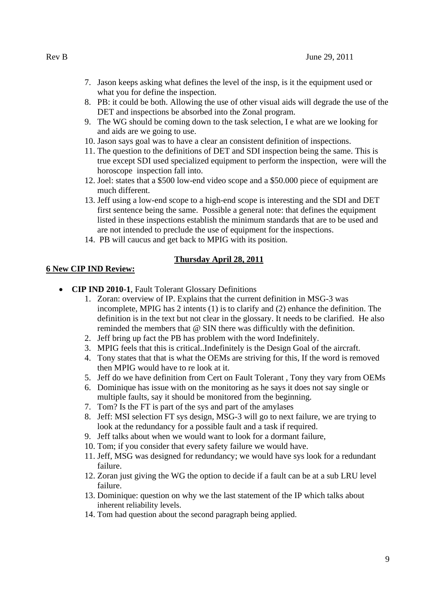- 7. Jason keeps asking what defines the level of the insp, is it the equipment used or what you for define the inspection.
- 8. PB: it could be both. Allowing the use of other visual aids will degrade the use of the DET and inspections be absorbed into the Zonal program.
- 9. The WG should be coming down to the task selection, I e what are we looking for and aids are we going to use.
- 10. Jason says goal was to have a clear an consistent definition of inspections.
- 11. The question to the definitions of DET and SDI inspection being the same. This is true except SDI used specialized equipment to perform the inspection, were will the horoscope inspection fall into.
- 12. Joel: states that a \$500 low-end video scope and a \$50.000 piece of equipment are much different.
- 13. Jeff using a low-end scope to a high-end scope is interesting and the SDI and DET first sentence being the same. Possible a general note: that defines the equipment listed in these inspections establish the minimum standards that are to be used and are not intended to preclude the use of equipment for the inspections.
- 14. PB will caucus and get back to MPIG with its position.

## **Thursday April 28, 2011**

#### **6 New CIP IND Review:**

- **CIP IND 2010-1**, Fault Tolerant Glossary Definitions
	- 1. Zoran: overview of IP. Explains that the current definition in MSG-3 was incomplete, MPIG has 2 intents (1) is to clarify and (2) enhance the definition. The definition is in the text but not clear in the glossary. It needs to be clarified. He also reminded the members that @ SIN there was difficultly with the definition.
	- 2. Jeff bring up fact the PB has problem with the word Indefinitely.
	- 3. MPIG feels that this is critical..Indefinitely is the Design Goal of the aircraft.
	- 4. Tony states that that is what the OEMs are striving for this, If the word is removed then MPIG would have to re look at it.
	- 5. Jeff do we have definition from Cert on Fault Tolerant , Tony they vary from OEMs
	- 6. Dominique has issue with on the monitoring as he says it does not say single or multiple faults, say it should be monitored from the beginning.
	- 7. Tom? Is the FT is part of the sys and part of the amylases
	- 8. Jeff: MSI selection FT sys design, MSG-3 will go to next failure, we are trying to look at the redundancy for a possible fault and a task if required.
	- 9. Jeff talks about when we would want to look for a dormant failure,
	- 10. Tom; if you consider that every safety failure we would have.
	- 11. Jeff, MSG was designed for redundancy; we would have sys look for a redundant failure.
	- 12. Zoran just giving the WG the option to decide if a fault can be at a sub LRU level failure.
	- 13. Dominique: question on why we the last statement of the IP which talks about inherent reliability levels.
	- 14. Tom had question about the second paragraph being applied.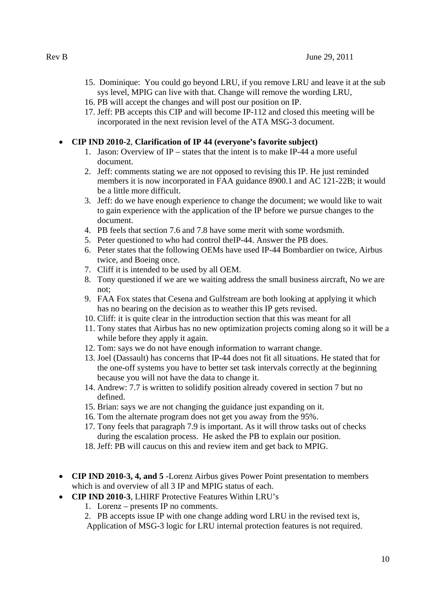- 15. Dominique: You could go beyond LRU, if you remove LRU and leave it at the sub sys level, MPIG can live with that. Change will remove the wording LRU,
- 16. PB will accept the changes and will post our position on IP.
- 17. Jeff: PB accepts this CIP and will become IP-112 and closed this meeting will be incorporated in the next revision level of the ATA MSG-3 document.

## **CIP IND 2010-2**, **Clarification of IP 44 (everyone's favorite subject)**

- 1. Jason: Overview of IP states that the intent is to make IP-44 a more useful document.
- 2. Jeff: comments stating we are not opposed to revising this IP. He just reminded members it is now incorporated in FAA guidance 8900.1 and AC 121-22B; it would be a little more difficult.
- 3. Jeff: do we have enough experience to change the document; we would like to wait to gain experience with the application of the IP before we pursue changes to the document.
- 4. PB feels that section 7.6 and 7.8 have some merit with some wordsmith.
- 5. Peter questioned to who had control theIP-44. Answer the PB does.
- 6. Peter states that the following OEMs have used IP-44 Bombardier on twice, Airbus twice, and Boeing once.
- 7. Cliff it is intended to be used by all OEM.
- 8. Tony questioned if we are we waiting address the small business aircraft, No we are not;
- 9. FAA Fox states that Cesena and Gulfstream are both looking at applying it which has no bearing on the decision as to weather this IP gets revised.
- 10. Cliff: it is quite clear in the introduction section that this was meant for all
- 11. Tony states that Airbus has no new optimization projects coming along so it will be a while before they apply it again.
- 12. Tom: says we do not have enough information to warrant change.
- 13. Joel (Dassault) has concerns that IP-44 does not fit all situations. He stated that for the one-off systems you have to better set task intervals correctly at the beginning because you will not have the data to change it.
- 14. Andrew: 7.7 is written to solidify position already covered in section 7 but no defined.
- 15. Brian: says we are not changing the guidance just expanding on it.
- 16. Tom the alternate program does not get you away from the 95%.
- 17. Tony feels that paragraph 7.9 is important. As it will throw tasks out of checks during the escalation process. He asked the PB to explain our position.
- 18. Jeff: PB will caucus on this and review item and get back to MPIG.
- **CIP IND 2010-3, 4, and 5** -Lorenz Airbus gives Power Point presentation to members which is and overview of all 3 IP and MPIG status of each.
- **CIP IND 2010-3**, LHIRF Protective Features Within LRU's
	- 1. Lorenz presents IP no comments.
	- 2. PB accepts issue IP with one change adding word LRU in the revised text is,

Application of MSG-3 logic for LRU internal protection features is not required.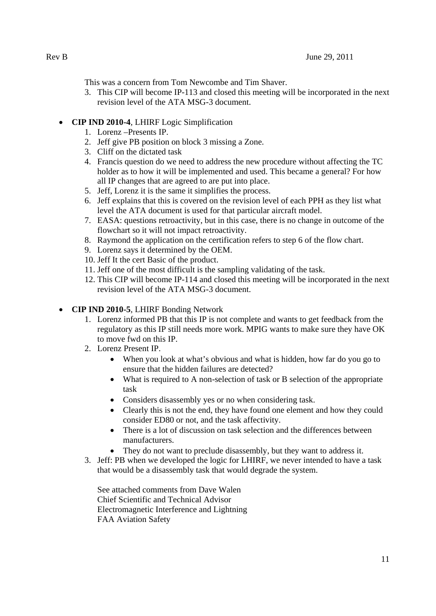This was a concern from Tom Newcombe and Tim Shaver.

3. This CIP will become IP-113 and closed this meeting will be incorporated in the next revision level of the ATA MSG-3 document.

## **CIP IND 2010-4**, LHIRF Logic Simplification

- 1. Lorenz –Presents IP.
- 2. Jeff give PB position on block 3 missing a Zone.
- 3. Cliff on the dictated task
- 4. Francis question do we need to address the new procedure without affecting the TC holder as to how it will be implemented and used. This became a general? For how all IP changes that are agreed to are put into place.
- 5. Jeff, Lorenz it is the same it simplifies the process.
- 6. Jeff explains that this is covered on the revision level of each PPH as they list what level the ATA document is used for that particular aircraft model.
- 7. EASA: questions retroactivity, but in this case, there is no change in outcome of the flowchart so it will not impact retroactivity.
- 8. Raymond the application on the certification refers to step 6 of the flow chart.
- 9. Lorenz says it determined by the OEM.
- 10. Jeff It the cert Basic of the product.
- 11. Jeff one of the most difficult is the sampling validating of the task.
- 12. This CIP will become IP-114 and closed this meeting will be incorporated in the next revision level of the ATA MSG-3 document.

## **CIP IND 2010-5**, LHIRF Bonding Network

- 1. Lorenz informed PB that this IP is not complete and wants to get feedback from the regulatory as this IP still needs more work. MPIG wants to make sure they have OK to move fwd on this IP.
- 2. Lorenz Present IP.
	- When you look at what's obvious and what is hidden, how far do you go to ensure that the hidden failures are detected?
	- What is required to A non-selection of task or B selection of the appropriate task
	- Considers disassembly yes or no when considering task.
	- Clearly this is not the end, they have found one element and how they could consider ED80 or not, and the task affectivity.
	- There is a lot of discussion on task selection and the differences between manufacturers.
	- They do not want to preclude disassembly, but they want to address it.
- 3. Jeff: PB when we developed the logic for LHIRF, we never intended to have a task that would be a disassembly task that would degrade the system.

See attached comments from Dave Walen Chief Scientific and Technical Advisor Electromagnetic Interference and Lightning FAA Aviation Safety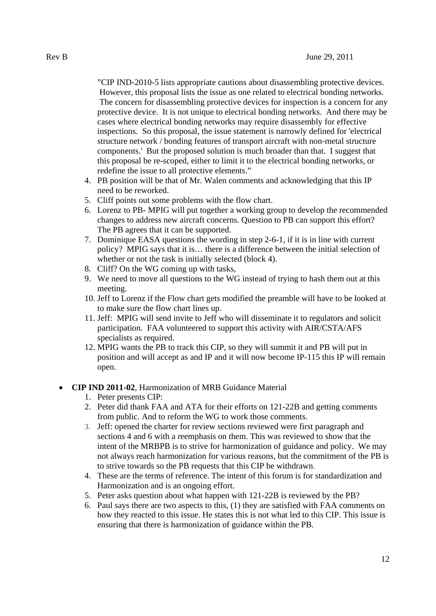"CIP IND-2010-5 lists appropriate cautions about disassembling protective devices. However, this proposal lists the issue as one related to electrical bonding networks. The concern for disassembling protective devices for inspection is a concern for any protective device. It is not unique to electrical bonding networks. And there may be cases where electrical bonding networks may require disassembly for effective inspections. So this proposal, the issue statement is narrowly defined for 'electrical structure network / bonding features of transport aircraft with non-metal structure components.' But the proposed solution is much broader than that. I suggest that this proposal be re-scoped, either to limit it to the electrical bonding networks, or redefine the issue to all protective elements."

- 4. PB position will be that of Mr. Walen comments and acknowledging that this IP need to be reworked.
- 5. Cliff points out some problems with the flow chart.
- 6. Lorenz to PB- MPIG will put together a working group to develop the recommended changes to address new aircraft concerns. Question to PB can support this effort? The PB agrees that it can be supported.
- 7. Dominique EASA questions the wording in step 2-6-1, if it is in line with current policy? MPIG says that it is… there is a difference between the initial selection of whether or not the task is initially selected (block 4).
- 8. Cliff? On the WG coming up with tasks,
- 9. We need to move all questions to the WG instead of trying to hash them out at this meeting.
- 10. Jeff to Lorenz if the Flow chart gets modified the preamble will have to be looked at to make sure the flow chart lines up.
- 11. Jeff: MPIG will send invite to Jeff who will disseminate it to regulators and solicit participation. FAA volunteered to support this activity with AIR/CSTA/AFS specialists as required.
- 12. MPIG wants the PB to track this CIP, so they will summit it and PB will put in position and will accept as and IP and it will now become IP-115 this IP will remain open.

#### **CIP IND 2011-02**, Harmonization of MRB Guidance Material

- 1. Peter presents CIP:
- 2. Peter did thank FAA and ATA for their efforts on 121-22B and getting comments from public. And to reform the WG to work those comments.
- 3. Jeff: opened the charter for review sections reviewed were first paragraph and sections 4 and 6 with a reemphasis on them. This was reviewed to show that the intent of the MRBPB is to strive for harmonization of guidance and policy. We may not always reach harmonization for various reasons, but the commitment of the PB is to strive towards so the PB requests that this CIP be withdrawn.
- 4. These are the terms of reference. The intent of this forum is for standardization and Harmonization and is an ongoing effort.
- 5. Peter asks question about what happen with 121-22B is reviewed by the PB?
- 6. Paul says there are two aspects to this, (1) they are satisfied with FAA comments on how they reacted to this issue. He states this is not what led to this CIP. This issue is ensuring that there is harmonization of guidance within the PB.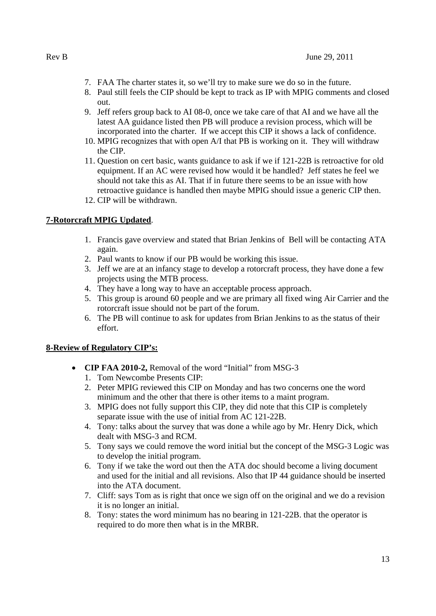- 7. FAA The charter states it, so we'll try to make sure we do so in the future.
- 8. Paul still feels the CIP should be kept to track as IP with MPIG comments and closed out.
- 9. Jeff refers group back to AI 08-0, once we take care of that AI and we have all the latest AA guidance listed then PB will produce a revision process, which will be incorporated into the charter. If we accept this CIP it shows a lack of confidence.
- 10. MPIG recognizes that with open A/I that PB is working on it. They will withdraw the CIP.
- 11. Question on cert basic, wants guidance to ask if we if 121-22B is retroactive for old equipment. If an AC were revised how would it be handled? Jeff states he feel we should not take this as AI. That if in future there seems to be an issue with how retroactive guidance is handled then maybe MPIG should issue a generic CIP then.
- 12. CIP will be withdrawn.

## **7-Rotorcraft MPIG Updated**.

- 1. Francis gave overview and stated that Brian Jenkins of Bell will be contacting ATA again.
- 2. Paul wants to know if our PB would be working this issue.
- 3. Jeff we are at an infancy stage to develop a rotorcraft process, they have done a few projects using the MTB process.
- 4. They have a long way to have an acceptable process approach.
- 5. This group is around 60 people and we are primary all fixed wing Air Carrier and the rotorcraft issue should not be part of the forum.
- 6. The PB will continue to ask for updates from Brian Jenkins to as the status of their effort.

## **8-Review of Regulatory CIP's:**

- **CIP FAA 2010-2,** Removal of the word "Initial" from MSG-3
	- 1. Tom Newcombe Presents CIP:
	- 2. Peter MPIG reviewed this CIP on Monday and has two concerns one the word minimum and the other that there is other items to a maint program.
	- 3. MPIG does not fully support this CIP, they did note that this CIP is completely separate issue with the use of initial from AC 121-22B.
	- 4. Tony: talks about the survey that was done a while ago by Mr. Henry Dick, which dealt with MSG-3 and RCM.
	- 5. Tony says we could remove the word initial but the concept of the MSG-3 Logic was to develop the initial program.
	- 6. Tony if we take the word out then the ATA doc should become a living document and used for the initial and all revisions. Also that IP 44 guidance should be inserted into the ATA document.
	- 7. Cliff: says Tom as is right that once we sign off on the original and we do a revision it is no longer an initial.
	- 8. Tony: states the word minimum has no bearing in 121-22B. that the operator is required to do more then what is in the MRBR.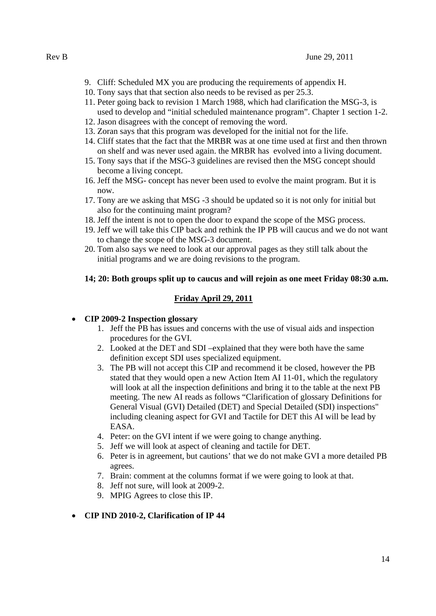- 9. Cliff: Scheduled MX you are producing the requirements of appendix H.
- 10. Tony says that that section also needs to be revised as per 25.3.
- 11. Peter going back to revision 1 March 1988, which had clarification the MSG-3, is used to develop and "initial scheduled maintenance program". Chapter 1 section 1-2.
- 12. Jason disagrees with the concept of removing the word.
- 13. Zoran says that this program was developed for the initial not for the life.
- 14. Cliff states that the fact that the MRBR was at one time used at first and then thrown on shelf and was never used again. the MRBR has evolved into a living document.
- 15. Tony says that if the MSG-3 guidelines are revised then the MSG concept should become a living concept.
- 16. Jeff the MSG- concept has never been used to evolve the maint program. But it is now.
- 17. Tony are we asking that MSG -3 should be updated so it is not only for initial but also for the continuing maint program?
- 18. Jeff the intent is not to open the door to expand the scope of the MSG process.
- 19. Jeff we will take this CIP back and rethink the IP PB will caucus and we do not want to change the scope of the MSG-3 document.
- 20. Tom also says we need to look at our approval pages as they still talk about the initial programs and we are doing revisions to the program.

#### **14; 20: Both groups split up to caucus and will rejoin as one meet Friday 08:30 a.m.**

#### **Friday April 29, 2011**

#### **CIP 2009-2 Inspection glossary**

- 1. Jeff the PB has issues and concerns with the use of visual aids and inspection procedures for the GVI.
- 2. Looked at the DET and SDI –explained that they were both have the same definition except SDI uses specialized equipment.
- 3. The PB will not accept this CIP and recommend it be closed, however the PB stated that they would open a new Action Item AI 11-01, which the regulatory will look at all the inspection definitions and bring it to the table at the next PB meeting. The new AI reads as follows "Clarification of glossary Definitions for General Visual (GVI) Detailed (DET) and Special Detailed (SDI) inspections" including cleaning aspect for GVI and Tactile for DET this AI will be lead by EASA.
- 4. Peter: on the GVI intent if we were going to change anything.
- 5. Jeff we will look at aspect of cleaning and tactile for DET.
- 6. Peter is in agreement, but cautions' that we do not make GVI a more detailed PB agrees.
- 7. Brain: comment at the columns format if we were going to look at that.
- 8. Jeff not sure, will look at 2009-2.
- 9. MPIG Agrees to close this IP.

#### **CIP IND 2010-2, Clarification of IP 44**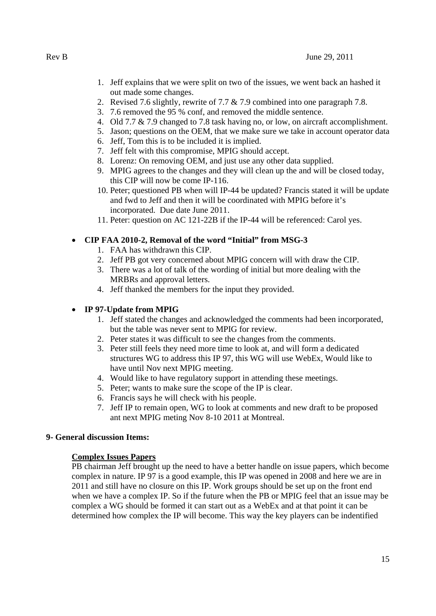- 1. Jeff explains that we were split on two of the issues, we went back an hashed it out made some changes.
- 2. Revised 7.6 slightly, rewrite of 7.7 & 7.9 combined into one paragraph 7.8.
- 3. 7.6 removed the 95 % conf, and removed the middle sentence.
- 4. Old 7.7 & 7.9 changed to 7.8 task having no, or low, on aircraft accomplishment.
- 5. Jason; questions on the OEM, that we make sure we take in account operator data
- 6. Jeff, Tom this is to be included it is implied.
- 7. Jeff felt with this compromise, MPIG should accept.
- 8. Lorenz: On removing OEM, and just use any other data supplied.
- 9. MPIG agrees to the changes and they will clean up the and will be closed today, this CIP will now be come IP-116.
- 10. Peter; questioned PB when will IP-44 be updated? Francis stated it will be update and fwd to Jeff and then it will be coordinated with MPIG before it's incorporated. Due date June 2011.
- 11. Peter: question on AC 121-22B if the IP-44 will be referenced: Carol yes.

## **CIP FAA 2010-2, Removal of the word "Initial" from MSG-3**

- 1. FAA has withdrawn this CIP.
- 2. Jeff PB got very concerned about MPIG concern will with draw the CIP.
- 3. There was a lot of talk of the wording of initial but more dealing with the MRBRs and approval letters.
- 4. Jeff thanked the members for the input they provided.

## **IP 97-Update from MPIG**

- 1. Jeff stated the changes and acknowledged the comments had been incorporated, but the table was never sent to MPIG for review.
- 2. Peter states it was difficult to see the changes from the comments.
- 3. Peter still feels they need more time to look at, and will form a dedicated structures WG to address this IP 97, this WG will use WebEx, Would like to have until Nov next MPIG meeting.
- 4. Would like to have regulatory support in attending these meetings.
- 5. Peter; wants to make sure the scope of the IP is clear.
- 6. Francis says he will check with his people.
- 7. Jeff IP to remain open, WG to look at comments and new draft to be proposed ant next MPIG meting Nov 8-10 2011 at Montreal.

#### **9- General discussion Items:**

## **Complex Issues Papers**

PB chairman Jeff brought up the need to have a better handle on issue papers, which become complex in nature. IP 97 is a good example, this IP was opened in 2008 and here we are in 2011 and still have no closure on this IP. Work groups should be set up on the front end when we have a complex IP. So if the future when the PB or MPIG feel that an issue may be complex a WG should be formed it can start out as a WebEx and at that point it can be determined how complex the IP will become. This way the key players can be indentified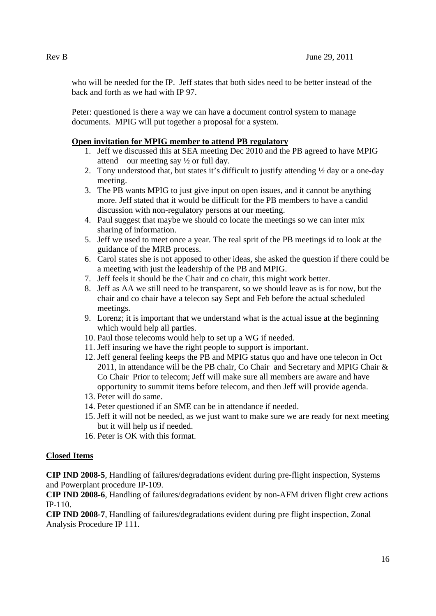who will be needed for the IP. Jeff states that both sides need to be better instead of the back and forth as we had with IP 97.

Peter: questioned is there a way we can have a document control system to manage documents. MPIG will put together a proposal for a system.

## **Open invitation for MPIG member to attend PB regulatory**

- 1. Jeff we discussed this at SEA meeting Dec 2010 and the PB agreed to have MPIG attend our meeting say ½ or full day.
- 2. Tony understood that, but states it's difficult to justify attending ½ day or a one-day meeting.
- 3. The PB wants MPIG to just give input on open issues, and it cannot be anything more. Jeff stated that it would be difficult for the PB members to have a candid discussion with non-regulatory persons at our meeting.
- 4. Paul suggest that maybe we should co locate the meetings so we can inter mix sharing of information.
- 5. Jeff we used to meet once a year. The real sprit of the PB meetings id to look at the guidance of the MRB process.
- 6. Carol states she is not apposed to other ideas, she asked the question if there could be a meeting with just the leadership of the PB and MPIG.
- 7. Jeff feels it should be the Chair and co chair, this might work better.
- 8. Jeff as AA we still need to be transparent, so we should leave as is for now, but the chair and co chair have a telecon say Sept and Feb before the actual scheduled meetings.
- 9. Lorenz; it is important that we understand what is the actual issue at the beginning which would help all parties.
- 10. Paul those telecoms would help to set up a WG if needed.
- 11. Jeff insuring we have the right people to support is important.
- 12. Jeff general feeling keeps the PB and MPIG status quo and have one telecon in Oct 2011, in attendance will be the PB chair, Co Chair and Secretary and MPIG Chair & Co Chair Prior to telecom; Jeff will make sure all members are aware and have opportunity to summit items before telecom, and then Jeff will provide agenda.
- 13. Peter will do same.
- 14. Peter questioned if an SME can be in attendance if needed.
- 15. Jeff it will not be needed, as we just want to make sure we are ready for next meeting but it will help us if needed.
- 16. Peter is OK with this format.

#### **Closed Items**

**CIP IND 2008-5**, Handling of failures/degradations evident during pre-flight inspection, Systems and Powerplant procedure IP-109.

**CIP IND 2008-6**, Handling of failures/degradations evident by non-AFM driven flight crew actions IP-110.

**CIP IND 2008-7**, Handling of failures/degradations evident during pre flight inspection, Zonal Analysis Procedure IP 111.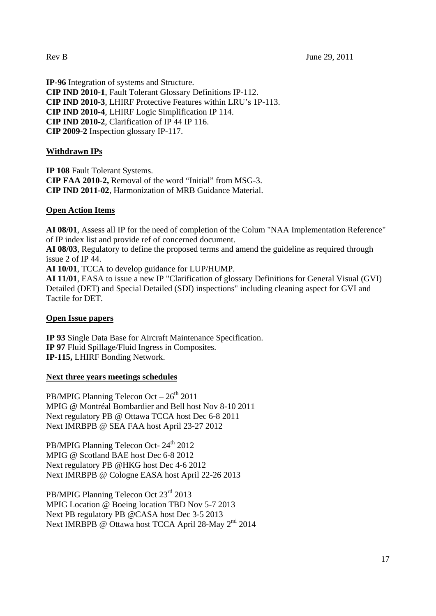**IP-96** Integration of systems and Structure. **CIP IND 2010-1**, Fault Tolerant Glossary Definitions IP-112. **CIP IND 2010-3**, LHIRF Protective Features within LRU's 1P-113. **CIP IND 2010-4**, LHIRF Logic Simplification IP 114. **CIP IND 2010-2**, Clarification of IP 44 IP 116. **CIP 2009-2** Inspection glossary IP-117.

## **Withdrawn IPs**

**IP 108** Fault Tolerant Systems. **CIP FAA 2010-2,** Removal of the word "Initial" from MSG-3. **CIP IND 2011-02**, Harmonization of MRB Guidance Material.

#### **Open Action Items**

**AI 08/01**, Assess all IP for the need of completion of the Colum "NAA Implementation Reference" of IP index list and provide ref of concerned document.

**AI 08/03**, Regulatory to define the proposed terms and amend the guideline as required through issue 2 of IP 44.

**AI 10/01**, TCCA to develop guidance for LUP/HUMP.

**AI 11/01**, EASA to issue a new IP "Clarification of glossary Definitions for General Visual (GVI) Detailed (DET) and Special Detailed (SDI) inspections" including cleaning aspect for GVI and Tactile for DET.

#### **Open Issue papers**

**IP 93** Single Data Base for Aircraft Maintenance Specification. **IP 97** Fluid Spillage/Fluid Ingress in Composites. **IP-115,** LHIRF Bonding Network.

#### **Next three years meetings schedules**

PB/MPIG Planning Telecon Oct  $-26<sup>th</sup> 2011$ MPIG @ Montréal Bombardier and Bell host Nov 8-10 2011 Next regulatory PB @ Ottawa TCCA host Dec 6-8 2011 Next IMRBPB @ SEA FAA host April 23-27 2012

PB/MPIG Planning Telecon Oct- 24<sup>th</sup> 2012 MPIG @ Scotland BAE host Dec 6-8 2012 Next regulatory PB @HKG host Dec 4-6 2012 Next IMRBPB @ Cologne EASA host April 22-26 2013

PB/MPIG Planning Telecon Oct 23<sup>rd</sup> 2013 MPIG Location @ Boeing location TBD Nov 5-7 2013 Next PB regulatory PB @CASA host Dec 3-5 2013 Next IMRBPB @ Ottawa host TCCA April 28-May 2<sup>nd</sup> 2014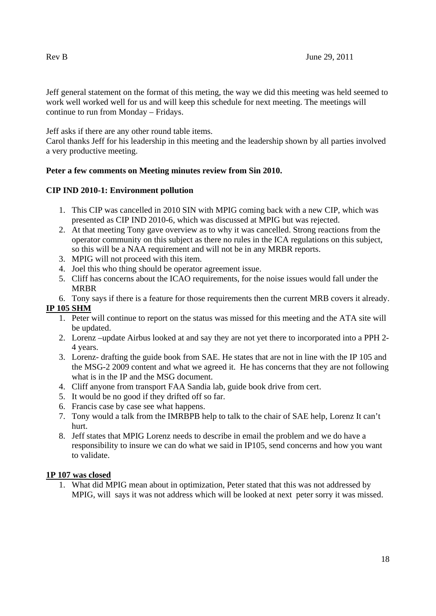Jeff general statement on the format of this meting, the way we did this meeting was held seemed to work well worked well for us and will keep this schedule for next meeting. The meetings will continue to run from Monday – Fridays.

Jeff asks if there are any other round table items.

Carol thanks Jeff for his leadership in this meeting and the leadership shown by all parties involved a very productive meeting.

## **Peter a few comments on Meeting minutes review from Sin 2010.**

## **CIP IND 2010-1: Environment pollution**

- 1. This CIP was cancelled in 2010 SIN with MPIG coming back with a new CIP, which was presented as CIP IND 2010-6, which was discussed at MPIG but was rejected.
- 2. At that meeting Tony gave overview as to why it was cancelled. Strong reactions from the operator community on this subject as there no rules in the ICA regulations on this subject, so this will be a NAA requirement and will not be in any MRBR reports.
- 3. MPIG will not proceed with this item.
- 4. Joel this who thing should be operator agreement issue.
- 5. Cliff has concerns about the ICAO requirements, for the noise issues would fall under the MRBR
- 6. Tony says if there is a feature for those requirements then the current MRB covers it already.

## **IP 105 SHM**

- 1. Peter will continue to report on the status was missed for this meeting and the ATA site will be updated.
- 2. Lorenz –update Airbus looked at and say they are not yet there to incorporated into a PPH 2- 4 years.
- 3. Lorenz- drafting the guide book from SAE. He states that are not in line with the IP 105 and the MSG-2 2009 content and what we agreed it. He has concerns that they are not following what is in the IP and the MSG document.
- 4. Cliff anyone from transport FAA Sandia lab, guide book drive from cert.
- 5. It would be no good if they drifted off so far.
- 6. Francis case by case see what happens.
- 7. Tony would a talk from the IMRBPB help to talk to the chair of SAE help, Lorenz It can't hurt.
- 8. Jeff states that MPIG Lorenz needs to describe in email the problem and we do have a responsibility to insure we can do what we said in IP105, send concerns and how you want to validate.

#### **1P 107 was closed**

1. What did MPIG mean about in optimization, Peter stated that this was not addressed by MPIG, will says it was not address which will be looked at next peter sorry it was missed.